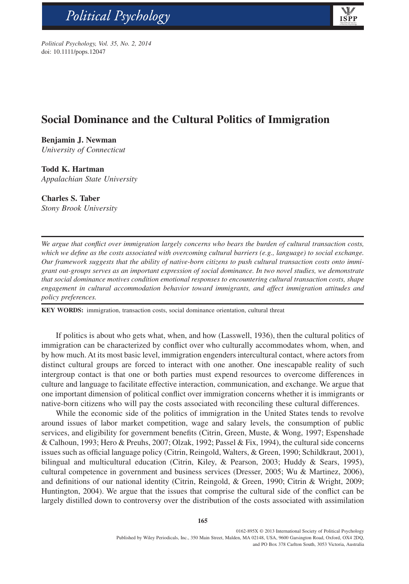

*Political Psychology, Vol. 35, No. 2, 2014* doi: 10.1111/pops.12047

bs\_bs\_banner

# **Social Dominance and the Cultural Politics of Immigration**

# **Benjamin J. Newman**

*University of Connecticut*

# **Todd K. Hartman**

*Appalachian State University*

# **Charles S. Taber**

*Stony Brook University*

*We argue that conflict over immigration largely concerns who bears the burden of cultural transaction costs, which we define as the costs associated with overcoming cultural barriers (e.g., language) to social exchange. Our framework suggests that the ability of native-born citizens to push cultural transaction costs onto immigrant out-groups serves as an important expression of social dominance. In two novel studies, we demonstrate that social dominance motives condition emotional responses to encountering cultural transaction costs, shape engagement in cultural accommodation behavior toward immigrants, and affect immigration attitudes and policy preferences.*

**KEY WORDS:** immigration, transaction costs, social dominance orientation, cultural threat

If politics is about who gets what, when, and how (Lasswell, 1936), then the cultural politics of immigration can be characterized by conflict over who culturally accommodates whom, when, and by how much. At its most basic level, immigration engenders intercultural contact, where actors from distinct cultural groups are forced to interact with one another. One inescapable reality of such intergroup contact is that one or both parties must expend resources to overcome differences in culture and language to facilitate effective interaction, communication, and exchange. We argue that one important dimension of political conflict over immigration concerns whether it is immigrants or native-born citizens who will pay the costs associated with reconciling these cultural differences.

While the economic side of the politics of immigration in the United States tends to revolve around issues of labor market competition, wage and salary levels, the consumption of public services, and eligibility for government benefits (Citrin, Green, Muste, & Wong, 1997; Espenshade & Calhoun, 1993; Hero & Preuhs, 2007; Olzak, 1992; Passel & Fix, 1994), the cultural side concerns issues such as official language policy (Citrin, Reingold, Walters, & Green, 1990; Schildkraut, 2001), bilingual and multicultural education (Citrin, Kiley, & Pearson, 2003; Huddy & Sears, 1995), cultural competence in government and business services (Dresser, 2005; Wu & Martinez, 2006), and definitions of our national identity (Citrin, Reingold, & Green, 1990; Citrin & Wright, 2009; Huntington, 2004). We argue that the issues that comprise the cultural side of the conflict can be largely distilled down to controversy over the distribution of the costs associated with assimilation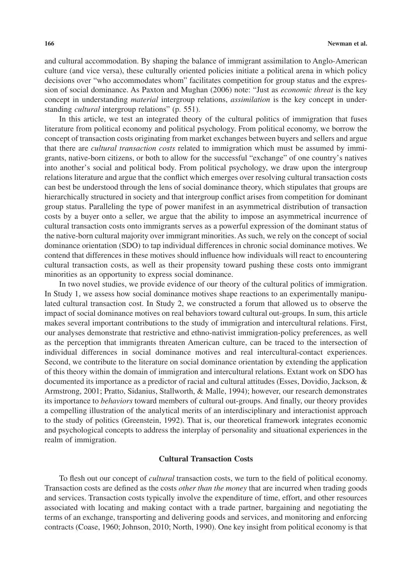and cultural accommodation. By shaping the balance of immigrant assimilation to Anglo-American culture (and vice versa), these culturally oriented policies initiate a political arena in which policy decisions over "who accommodates whom" facilitates competition for group status and the expression of social dominance. As Paxton and Mughan (2006) note: "Just as *economic threat* is the key concept in understanding *material* intergroup relations, *assimilation* is the key concept in understanding *cultural* intergroup relations" (p. 551).

In this article, we test an integrated theory of the cultural politics of immigration that fuses literature from political economy and political psychology. From political economy, we borrow the concept of transaction costs originating from market exchanges between buyers and sellers and argue that there are *cultural transaction costs* related to immigration which must be assumed by immigrants, native-born citizens, or both to allow for the successful "exchange" of one country's natives into another's social and political body. From political psychology, we draw upon the intergroup relations literature and argue that the conflict which emerges over resolving cultural transaction costs can best be understood through the lens of social dominance theory, which stipulates that groups are hierarchically structured in society and that intergroup conflict arises from competition for dominant group status. Paralleling the type of power manifest in an asymmetrical distribution of transaction costs by a buyer onto a seller, we argue that the ability to impose an asymmetrical incurrence of cultural transaction costs onto immigrants serves as a powerful expression of the dominant status of the native-born cultural majority over immigrant minorities. As such, we rely on the concept of social dominance orientation (SDO) to tap individual differences in chronic social dominance motives. We contend that differences in these motives should influence how individuals will react to encountering cultural transaction costs, as well as their propensity toward pushing these costs onto immigrant minorities as an opportunity to express social dominance.

In two novel studies, we provide evidence of our theory of the cultural politics of immigration. In Study 1, we assess how social dominance motives shape reactions to an experimentally manipulated cultural transaction cost. In Study 2, we constructed a forum that allowed us to observe the impact of social dominance motives on real behaviors toward cultural out-groups. In sum, this article makes several important contributions to the study of immigration and intercultural relations. First, our analyses demonstrate that restrictive and ethno-nativist immigration-policy preferences, as well as the perception that immigrants threaten American culture, can be traced to the intersection of individual differences in social dominance motives and real intercultural-contact experiences. Second, we contribute to the literature on social dominance orientation by extending the application of this theory within the domain of immigration and intercultural relations. Extant work on SDO has documented its importance as a predictor of racial and cultural attitudes (Esses, Dovidio, Jackson, & Armstrong, 2001; Pratto, Sidanius, Stallworth, & Malle, 1994); however, our research demonstrates its importance to *behaviors* toward members of cultural out-groups. And finally, our theory provides a compelling illustration of the analytical merits of an interdisciplinary and interactionist approach to the study of politics (Greenstein, 1992). That is, our theoretical framework integrates economic and psychological concepts to address the interplay of personality and situational experiences in the realm of immigration.

## **Cultural Transaction Costs**

To flesh out our concept of *cultural* transaction costs, we turn to the field of political economy. Transaction costs are defined as the costs *other than the money* that are incurred when trading goods and services. Transaction costs typically involve the expenditure of time, effort, and other resources associated with locating and making contact with a trade partner, bargaining and negotiating the terms of an exchange, transporting and delivering goods and services, and monitoring and enforcing contracts (Coase, 1960; Johnson, 2010; North, 1990). One key insight from political economy is that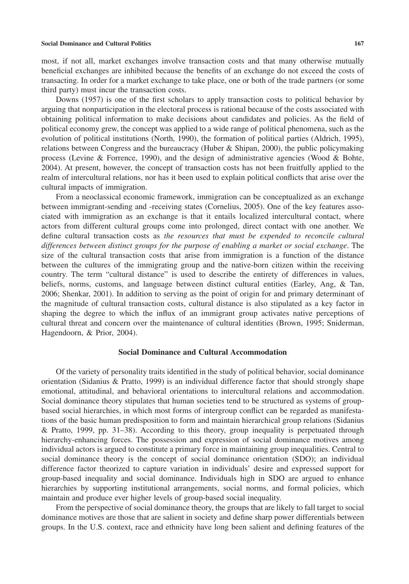most, if not all, market exchanges involve transaction costs and that many otherwise mutually beneficial exchanges are inhibited because the benefits of an exchange do not exceed the costs of transacting. In order for a market exchange to take place, one or both of the trade partners (or some third party) must incur the transaction costs.

Downs (1957) is one of the first scholars to apply transaction costs to political behavior by arguing that nonparticipation in the electoral process is rational because of the costs associated with obtaining political information to make decisions about candidates and policies. As the field of political economy grew, the concept was applied to a wide range of political phenomena, such as the evolution of political institutions (North, 1990), the formation of political parties (Aldrich, 1995), relations between Congress and the bureaucracy (Huber & Shipan, 2000), the public policymaking process (Levine & Forrence, 1990), and the design of administrative agencies (Wood & Bohte, 2004). At present, however, the concept of transaction costs has not been fruitfully applied to the realm of intercultural relations, nor has it been used to explain political conflicts that arise over the cultural impacts of immigration.

From a neoclassical economic framework, immigration can be conceptualized as an exchange between immigrant-sending and -receiving states (Cornelius, 2005). One of the key features associated with immigration as an exchange is that it entails localized intercultural contact, where actors from different cultural groups come into prolonged, direct contact with one another. We define cultural transaction costs as *the resources that must be expended to reconcile cultural differences between distinct groups for the purpose of enabling a market or social exchange*. The size of the cultural transaction costs that arise from immigration is a function of the distance between the cultures of the immigrating group and the native-born citizen within the receiving country. The term "cultural distance" is used to describe the entirety of differences in values, beliefs, norms, customs, and language between distinct cultural entities (Earley, Ang, & Tan, 2006; Shenkar, 2001). In addition to serving as the point of origin for and primary determinant of the magnitude of cultural transaction costs, cultural distance is also stipulated as a key factor in shaping the degree to which the influx of an immigrant group activates native perceptions of cultural threat and concern over the maintenance of cultural identities (Brown, 1995; Sniderman, Hagendoorn, & Prior, 2004).

## **Social Dominance and Cultural Accommodation**

Of the variety of personality traits identified in the study of political behavior, social dominance orientation (Sidanius & Pratto, 1999) is an individual difference factor that should strongly shape emotional, attitudinal, and behavioral orientations to intercultural relations and accommodation. Social dominance theory stipulates that human societies tend to be structured as systems of groupbased social hierarchies, in which most forms of intergroup conflict can be regarded as manifestations of the basic human predisposition to form and maintain hierarchical group relations (Sidanius & Pratto, 1999, pp. 31–38). According to this theory, group inequality is perpetuated through hierarchy-enhancing forces. The possession and expression of social dominance motives among individual actors is argued to constitute a primary force in maintaining group inequalities. Central to social dominance theory is the concept of social dominance orientation (SDO); an individual difference factor theorized to capture variation in individuals' desire and expressed support for group-based inequality and social dominance. Individuals high in SDO are argued to enhance hierarchies by supporting institutional arrangements, social norms, and formal policies, which maintain and produce ever higher levels of group-based social inequality.

From the perspective of social dominance theory, the groups that are likely to fall target to social dominance motives are those that are salient in society and define sharp power differentials between groups. In the U.S. context, race and ethnicity have long been salient and defining features of the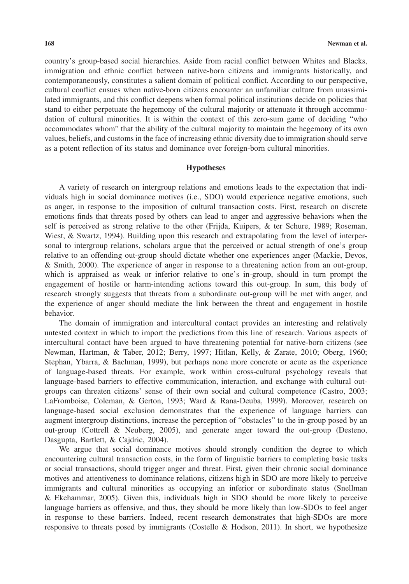country's group-based social hierarchies. Aside from racial conflict between Whites and Blacks, immigration and ethnic conflict between native-born citizens and immigrants historically, and contemporaneously, constitutes a salient domain of political conflict. According to our perspective, cultural conflict ensues when native-born citizens encounter an unfamiliar culture from unassimilated immigrants, and this conflict deepens when formal political institutions decide on policies that stand to either perpetuate the hegemony of the cultural majority or attenuate it through accommodation of cultural minorities. It is within the context of this zero-sum game of deciding "who accommodates whom" that the ability of the cultural majority to maintain the hegemony of its own values, beliefs, and customs in the face of increasing ethnic diversity due to immigration should serve as a potent reflection of its status and dominance over foreign-born cultural minorities.

## **Hypotheses**

A variety of research on intergroup relations and emotions leads to the expectation that individuals high in social dominance motives (i.e., SDO) would experience negative emotions, such as anger, in response to the imposition of cultural transaction costs. First, research on discrete emotions finds that threats posed by others can lead to anger and aggressive behaviors when the self is perceived as strong relative to the other (Frijda, Kuipers, & ter Schure, 1989; Roseman, Wiest, & Swartz, 1994). Building upon this research and extrapolating from the level of interpersonal to intergroup relations, scholars argue that the perceived or actual strength of one's group relative to an offending out-group should dictate whether one experiences anger (Mackie, Devos, & Smith, 2000). The experience of anger in response to a threatening action from an out-group, which is appraised as weak or inferior relative to one's in-group, should in turn prompt the engagement of hostile or harm-intending actions toward this out-group. In sum, this body of research strongly suggests that threats from a subordinate out-group will be met with anger, and the experience of anger should mediate the link between the threat and engagement in hostile behavior.

The domain of immigration and intercultural contact provides an interesting and relatively untested context in which to import the predictions from this line of research. Various aspects of intercultural contact have been argued to have threatening potential for native-born citizens (see Newman, Hartman, & Taber, 2012; Berry, 1997; Hitlan, Kelly, & Zarate, 2010; Oberg, 1960; Stephan, Ybarra, & Bachman, 1999), but perhaps none more concrete or acute as the experience of language-based threats. For example, work within cross-cultural psychology reveals that language-based barriers to effective communication, interaction, and exchange with cultural outgroups can threaten citizens' sense of their own social and cultural competence (Castro, 2003; LaFromboise, Coleman, & Gerton, 1993; Ward & Rana-Deuba, 1999). Moreover, research on language-based social exclusion demonstrates that the experience of language barriers can augment intergroup distinctions, increase the perception of "obstacles" to the in-group posed by an out-group (Cottrell & Neuberg, 2005), and generate anger toward the out-group (Desteno, Dasgupta, Bartlett, & Cajdric, 2004).

We argue that social dominance motives should strongly condition the degree to which encountering cultural transaction costs, in the form of linguistic barriers to completing basic tasks or social transactions, should trigger anger and threat. First, given their chronic social dominance motives and attentiveness to dominance relations, citizens high in SDO are more likely to perceive immigrants and cultural minorities as occupying an inferior or subordinate status (Snellman & Ekehammar, 2005). Given this, individuals high in SDO should be more likely to perceive language barriers as offensive, and thus, they should be more likely than low-SDOs to feel anger in response to these barriers. Indeed, recent research demonstrates that high-SDOs are more responsive to threats posed by immigrants (Costello & Hodson, 2011). In short, we hypothesize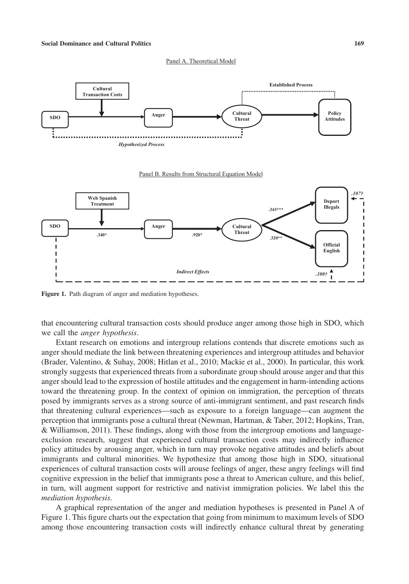

Panel A. Theoretical Model



**Figure 1.** Path diagram of anger and mediation hypotheses.

that encountering cultural transaction costs should produce anger among those high in SDO, which we call the *anger hypothesis*.

Extant research on emotions and intergroup relations contends that discrete emotions such as anger should mediate the link between threatening experiences and intergroup attitudes and behavior (Brader, Valentino, & Suhay, 2008; Hitlan et al., 2010; Mackie et al., 2000). In particular, this work strongly suggests that experienced threats from a subordinate group should arouse anger and that this anger should lead to the expression of hostile attitudes and the engagement in harm-intending actions toward the threatening group. In the context of opinion on immigration, the perception of threats posed by immigrants serves as a strong source of anti-immigrant sentiment, and past research finds that threatening cultural experiences—such as exposure to a foreign language—can augment the perception that immigrants pose a cultural threat (Newman, Hartman, & Taber, 2012; Hopkins, Tran, & Williamson, 2011). These findings, along with those from the intergroup emotions and languageexclusion research, suggest that experienced cultural transaction costs may indirectly influence policy attitudes by arousing anger, which in turn may provoke negative attitudes and beliefs about immigrants and cultural minorities. We hypothesize that among those high in SDO, situational experiences of cultural transaction costs will arouse feelings of anger, these angry feelings will find cognitive expression in the belief that immigrants pose a threat to American culture, and this belief, in turn, will augment support for restrictive and nativist immigration policies. We label this the *mediation hypothesis*.

A graphical representation of the anger and mediation hypotheses is presented in Panel A of Figure 1. This figure charts out the expectation that going from minimum to maximum levels of SDO among those encountering transaction costs will indirectly enhance cultural threat by generating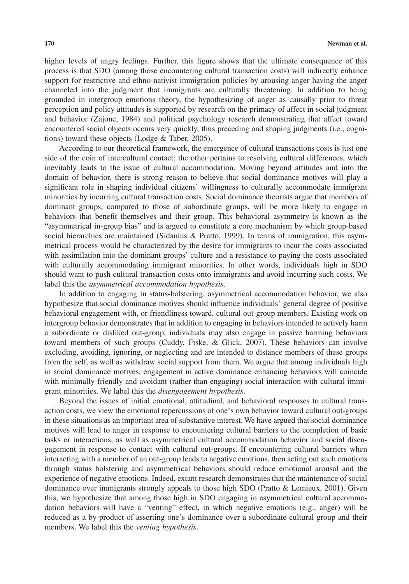higher levels of angry feelings. Further, this figure shows that the ultimate consequence of this process is that SDO (among those encountering cultural transaction costs) will indirectly enhance support for restrictive and ethno-nativist immigration policies by arousing anger having the anger channeled into the judgment that immigrants are culturally threatening. In addition to being grounded in intergroup emotions theory, the hypothesizing of anger as causally prior to threat perception and policy attitudes is supported by research on the primacy of affect in social judgment and behavior (Zajonc, 1984) and political psychology research demonstrating that affect toward encountered social objects occurs very quickly, thus preceding and shaping judgments (i.e., cognitions) toward these objects (Lodge & Taber, 2005).

According to our theoretical framework, the emergence of cultural transactions costs is just one side of the coin of intercultural contact; the other pertains to resolving cultural differences, which inevitably leads to the issue of cultural accommodation. Moving beyond attitudes and into the domain of behavior, there is strong reason to believe that social dominance motives will play a significant role in shaping individual citizens' willingness to culturally accommodate immigrant minorities by incurring cultural transaction costs. Social dominance theorists argue that members of dominant groups, compared to those of subordinate groups, will be more likely to engage in behaviors that benefit themselves and their group. This behavioral asymmetry is known as the "asymmetrical in-group bias" and is argued to constitute a core mechanism by which group-based social hierarchies are maintained (Sidanius & Pratto, 1999). In terms of immigration, this asymmetrical process would be characterized by the desire for immigrants to incur the costs associated with assimilation into the dominant groups' culture and a resistance to paying the costs associated with culturally accommodating immigrant minorities. In other words, individuals high in SDO should want to push cultural transaction costs onto immigrants and avoid incurring such costs. We label this the *asymmetrical accommodation hypothesis*.

In addition to engaging in status-bolstering, asymmetrical accommodation behavior, we also hypothesize that social dominance motives should influence individuals' general degree of positive behavioral engagement with, or friendliness toward, cultural out-group members. Existing work on intergroup behavior demonstrates that in addition to engaging in behaviors intended to actively harm a subordinate or disliked out-group, individuals may also engage in passive harming behaviors toward members of such groups (Cuddy, Fiske, & Glick, 2007). These behaviors can involve excluding, avoiding, ignoring, or neglecting and are intended to distance members of these groups from the self, as well as withdraw social support from them. We argue that among individuals high in social dominance motives, engagement in active dominance enhancing behaviors will coincide with minimally friendly and avoidant (rather than engaging) social interaction with cultural immigrant minorities. We label this the *disengagement hypothesis*.

Beyond the issues of initial emotional, attitudinal, and behavioral responses to cultural transaction costs, we view the emotional repercussions of one's own behavior toward cultural out-groups in these situations as an important area of substantive interest. We have argued that social dominance motives will lead to anger in response to encountering cultural barriers to the completion of basic tasks or interactions, as well as asymmetrical cultural accommodation behavior and social disengagement in response to contact with cultural out-groups. If encountering cultural barriers when interacting with a member of an out-group leads to negative emotions, then acting out such emotions through status bolstering and asymmetrical behaviors should reduce emotional arousal and the experience of negative emotions. Indeed, extant research demonstrates that the maintenance of social dominance over immigrants strongly appeals to those high SDO (Pratto & Lemieux, 2001). Given this, we hypothesize that among those high in SDO engaging in asymmetrical cultural accommodation behaviors will have a "venting" effect, in which negative emotions (e.g., anger) will be reduced as a by-product of asserting one's dominance over a subordinate cultural group and their members. We label this the *venting hypothesis*.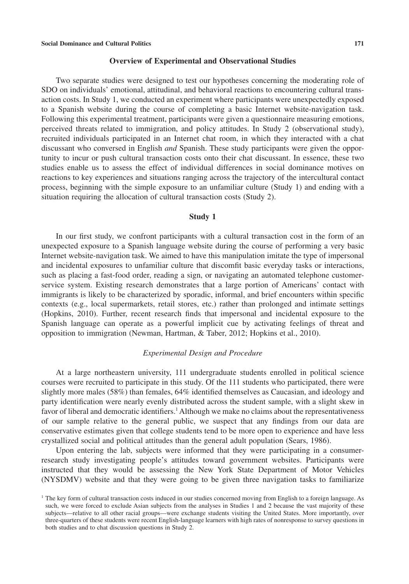## **Overview of Experimental and Observational Studies**

Two separate studies were designed to test our hypotheses concerning the moderating role of SDO on individuals' emotional, attitudinal, and behavioral reactions to encountering cultural transaction costs. In Study 1, we conducted an experiment where participants were unexpectedly exposed to a Spanish website during the course of completing a basic Internet website-navigation task. Following this experimental treatment, participants were given a questionnaire measuring emotions, perceived threats related to immigration, and policy attitudes. In Study 2 (observational study), recruited individuals participated in an Internet chat room, in which they interacted with a chat discussant who conversed in English *and* Spanish. These study participants were given the opportunity to incur or push cultural transaction costs onto their chat discussant. In essence, these two studies enable us to assess the effect of individual differences in social dominance motives on reactions to key experiences and situations ranging across the trajectory of the intercultural contact process, beginning with the simple exposure to an unfamiliar culture (Study 1) and ending with a situation requiring the allocation of cultural transaction costs (Study 2).

## **Study 1**

In our first study, we confront participants with a cultural transaction cost in the form of an unexpected exposure to a Spanish language website during the course of performing a very basic Internet website-navigation task. We aimed to have this manipulation imitate the type of impersonal and incidental exposures to unfamiliar culture that discomfit basic everyday tasks or interactions, such as placing a fast-food order, reading a sign, or navigating an automated telephone customerservice system. Existing research demonstrates that a large portion of Americans' contact with immigrants is likely to be characterized by sporadic, informal, and brief encounters within specific contexts (e.g., local supermarkets, retail stores, etc.) rather than prolonged and intimate settings (Hopkins, 2010). Further, recent research finds that impersonal and incidental exposure to the Spanish language can operate as a powerful implicit cue by activating feelings of threat and opposition to immigration (Newman, Hartman, & Taber, 2012; Hopkins et al., 2010).

#### *Experimental Design and Procedure*

At a large northeastern university, 111 undergraduate students enrolled in political science courses were recruited to participate in this study. Of the 111 students who participated, there were slightly more males (58%) than females, 64% identified themselves as Caucasian, and ideology and party identification were nearly evenly distributed across the student sample, with a slight skew in favor of liberal and democratic identifiers.<sup>1</sup> Although we make no claims about the representativeness of our sample relative to the general public, we suspect that any findings from our data are conservative estimates given that college students tend to be more open to experience and have less crystallized social and political attitudes than the general adult population (Sears, 1986).

Upon entering the lab, subjects were informed that they were participating in a consumerresearch study investigating people's attitudes toward government websites. Participants were instructed that they would be assessing the New York State Department of Motor Vehicles (NYSDMV) website and that they were going to be given three navigation tasks to familiarize

 $<sup>1</sup>$  The key form of cultural transaction costs induced in our studies concerned moving from English to a foreign language. As</sup> such, we were forced to exclude Asian subjects from the analyses in Studies 1 and 2 because the vast majority of these subjects—relative to all other racial groups—were exchange students visiting the United States. More importantly, over three-quarters of these students were recent English-language learners with high rates of nonresponse to survey questions in both studies and to chat discussion questions in Study 2.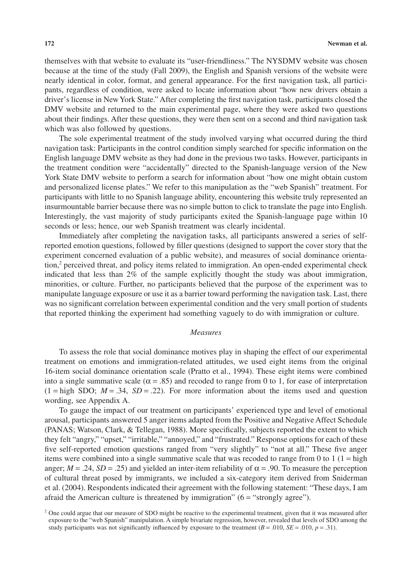themselves with that website to evaluate its "user-friendliness." The NYSDMV website was chosen because at the time of the study (Fall 2009), the English and Spanish versions of the website were nearly identical in color, format, and general appearance. For the first navigation task, all participants, regardless of condition, were asked to locate information about "how new drivers obtain a driver's license in New York State." After completing the first navigation task, participants closed the DMV website and returned to the main experimental page, where they were asked two questions about their findings. After these questions, they were then sent on a second and third navigation task which was also followed by questions.

The sole experimental treatment of the study involved varying what occurred during the third navigation task: Participants in the control condition simply searched for specific information on the English language DMV website as they had done in the previous two tasks. However, participants in the treatment condition were "accidentally" directed to the Spanish-language version of the New York State DMV website to perform a search for information about "how one might obtain custom and personalized license plates." We refer to this manipulation as the "web Spanish" treatment. For participants with little to no Spanish language ability, encountering this website truly represented an insurmountable barrier because there was no simple button to click to translate the page into English. Interestingly, the vast majority of study participants exited the Spanish-language page within 10 seconds or less; hence, our web Spanish treatment was clearly incidental.

Immediately after completing the navigation tasks, all participants answered a series of selfreported emotion questions, followed by filler questions (designed to support the cover story that the experiment concerned evaluation of a public website), and measures of social dominance orientation,<sup>2</sup> perceived threat, and policy items related to immigration. An open-ended experimental check indicated that less than 2% of the sample explicitly thought the study was about immigration, minorities, or culture. Further, no participants believed that the purpose of the experiment was to manipulate language exposure or use it as a barrier toward performing the navigation task. Last, there was no significant correlation between experimental condition and the very small portion of students that reported thinking the experiment had something vaguely to do with immigration or culture.

#### *Measures*

To assess the role that social dominance motives play in shaping the effect of our experimental treatment on emotions and immigration-related attitudes, we used eight items from the original 16-item social dominance orientation scale (Pratto et al., 1994). These eight items were combined into a single summative scale ( $\alpha$  = .85) and recoded to range from 0 to 1, for ease of interpretation  $(1 =$ high SDO;  $M = .34$ , SD = .22). For more information about the items used and question wording, see Appendix A.

To gauge the impact of our treatment on participants' experienced type and level of emotional arousal, participants answered 5 anger items adapted from the Positive and Negative Affect Schedule (PANAS; Watson, Clark, & Tellegan, 1988). More specifically, subjects reported the extent to which they felt "angry," "upset," "irritable," "annoyed," and "frustrated." Response options for each of these five self-reported emotion questions ranged from "very slightly" to "not at all." These five anger items were combined into a single summative scale that was recoded to range from 0 to 1  $(1 - \text{high})$ anger;  $M = .24$ ,  $SD = .25$ ) and yielded an inter-item reliability of  $\alpha = .90$ . To measure the perception of cultural threat posed by immigrants, we included a six-category item derived from Sniderman et al. (2004). Respondents indicated their agreement with the following statement: "These days, I am afraid the American culture is threatened by immigration"  $(6 = "strongly agree").$ 

<sup>&</sup>lt;sup>2</sup> One could argue that our measure of SDO might be reactive to the experimental treatment, given that it was measured after exposure to the "web Spanish" manipulation. A simple bivariate regression, however, revealed that levels of SDO among the study participants was not significantly influenced by exposure to the treatment  $(B = .010, \, SE = .010, \, p = .31)$ .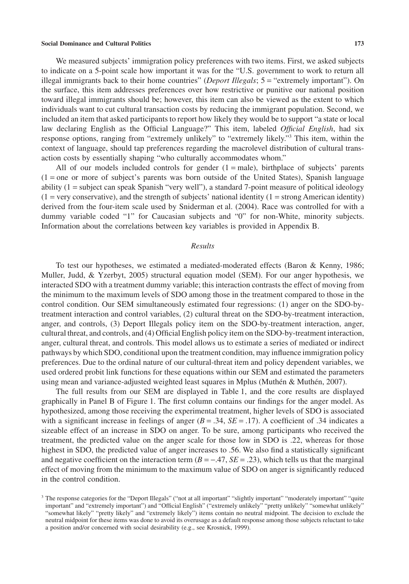We measured subjects' immigration policy preferences with two items. First, we asked subjects to indicate on a 5-point scale how important it was for the "U.S. government to work to return all illegal immigrants back to their home countries" (*Deport Illegals*; 5 = "extremely important"). On the surface, this item addresses preferences over how restrictive or punitive our national position toward illegal immigrants should be; however, this item can also be viewed as the extent to which individuals want to cut cultural transaction costs by reducing the immigrant population. Second, we included an item that asked participants to report how likely they would be to support "a state or local law declaring English as the Official Language?" This item, labeled *Official English*, had six response options, ranging from "extremely unlikely" to "extremely likely."3 This item, within the context of language, should tap preferences regarding the macrolevel distribution of cultural transaction costs by essentially shaping "who culturally accommodates whom."

All of our models included controls for gender  $(1 = male)$ , birthplace of subjects' parents  $(1 = one or more of subject's parents was born outside of the United States)$ , Spanish language ability  $(1 = \text{subject can speak Spanish "very well"), a standard 7-point measure of political ideology$  $(1 = \text{very conservative})$ , and the strength of subjects' national identity  $(1 = \text{strong American identity})$ derived from the four-item scale used by Sniderman et al. (2004). Race was controlled for with a dummy variable coded "1" for Caucasian subjects and "0" for non-White, minority subjects. Information about the correlations between key variables is provided in Appendix B.

#### *Results*

To test our hypotheses, we estimated a mediated-moderated effects (Baron & Kenny, 1986; Muller, Judd, & Yzerbyt, 2005) structural equation model (SEM). For our anger hypothesis, we interacted SDO with a treatment dummy variable; this interaction contrasts the effect of moving from the minimum to the maximum levels of SDO among those in the treatment compared to those in the control condition. Our SEM simultaneously estimated four regressions: (1) anger on the SDO-bytreatment interaction and control variables, (2) cultural threat on the SDO-by-treatment interaction, anger, and controls, (3) Deport Illegals policy item on the SDO-by-treatment interaction, anger, cultural threat, and controls, and (4) Official English policy item on the SDO-by-treatment interaction, anger, cultural threat, and controls. This model allows us to estimate a series of mediated or indirect pathways by which SDO, conditional upon the treatment condition, may influence immigration policy preferences. Due to the ordinal nature of our cultural-threat item and policy dependent variables, we used ordered probit link functions for these equations within our SEM and estimated the parameters using mean and variance-adjusted weighted least squares in Mplus (Muthén & Muthén, 2007).

The full results from our SEM are displayed in Table 1, and the core results are displayed graphically in Panel B of Figure 1. The first column contains our findings for the anger model. As hypothesized, among those receiving the experimental treatment, higher levels of SDO is associated with a significant increase in feelings of anger  $(B = .34, SE = .17)$ . A coefficient of .34 indicates a sizeable effect of an increase in SDO on anger. To be sure, among participants who received the treatment, the predicted value on the anger scale for those low in SDO is .22, whereas for those highest in SDO, the predicted value of anger increases to .56. We also find a statistically significant and negative coefficient on the interaction term  $(B = -.47, SE = .23)$ , which tells us that the marginal effect of moving from the minimum to the maximum value of SDO on anger is significantly reduced in the control condition.

<sup>&</sup>lt;sup>3</sup> The response categories for the "Deport Illegals" ("not at all important" "slightly important" "moderately important" "quite important" and "extremely important") and "Official English" ("extremely unlikely" "pretty unlikely" "somewhat unlikely" "somewhat likely" "pretty likely" and "extremely likely") items contain no neutral midpoint. The decision to exclude the neutral midpoint for these items was done to avoid its overusage as a default response among those subjects reluctant to take a position and/or concerned with social desirability (e.g., see Krosnick, 1999).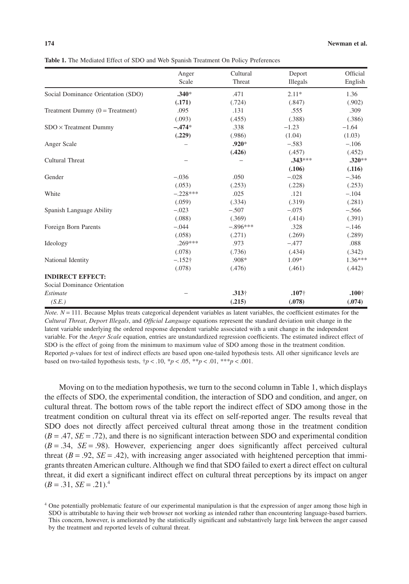|                                    | Anger          | Cultural   | Deport    | Official          |
|------------------------------------|----------------|------------|-----------|-------------------|
|                                    | Scale          | Threat     | Illegals  | English           |
| Social Dominance Orientation (SDO) | $.340*$        | .471       | $2.11*$   | 1.36              |
|                                    | (.171)         | (.724)     | (.847)    | (.902)            |
| Treatment Dummy $(0 = Treatment)$  | .095           | .131       | .555      | .309              |
|                                    | (.093)         | (.455)     | (.388)    | (.386)            |
| $SDO \times Treatment$ Dummy       | $-.474*$       | .338       | $-1.23$   | $-1.64$           |
|                                    | (.229)         | (.986)     | (1.04)    | (1.03)            |
| Anger Scale                        |                | $.920*$    | $-.583$   | $-.106$           |
|                                    |                | (.426)     | (.457)    | (.452)            |
| Cultural Threat                    |                |            | $.343***$ | $.320**$          |
|                                    |                |            | (.106)    | (.116)            |
| Gender                             | $-.036$        | .050       | $-.028$   | $-.346$           |
|                                    | (.053)         | (.253)     | (.228)    | (.253)            |
| White                              | $-.228***$     | .025       | .121      | $-.104$           |
|                                    | (.059)         | (.334)     | (.319)    | (.281)            |
| Spanish Language Ability           | $-.023$        | $-.507$    | $-.075$   | $-.566$           |
|                                    | (.088)         | (.369)     | (.414)    | (.391)            |
| Foreign Born Parents               | $-.044$        | $-.896***$ | .328      | $-.146$           |
|                                    | (.058)         | (.271)     | (.269)    | (.289)            |
| Ideology                           | $.269***$      | .973       | $-.477$   | .088              |
|                                    | (.078)         | (.736)     | (.434)    | (.342)            |
| National Identity                  | $-.152\dagger$ | .908*      | $1.09*$   | $1.36***$         |
|                                    | (.078)         | (.476)     | (.461)    | (.442)            |
| <b>INDIRECT EFFECT:</b>            |                |            |           |                   |
| Social Dominance Orientation       |                |            |           |                   |
| Estimate                           |                | $.313+$    | $.107+$   | .100 <sup>†</sup> |
| (S.E.)                             |                | (.215)     | (.078)    | (.074)            |

**Table 1.** The Mediated Effect of SDO and Web Spanish Treatment On Policy Preferences

*Note.*  $N = 111$ . Because Mplus treats categorical dependent variables as latent variables, the coefficient estimates for the *Cultural Threat*, *Deport Illegals*, and *Official Language* equations represent the standard deviation unit change in the latent variable underlying the ordered response dependent variable associated with a unit change in the independent variable. For the *Anger Scale* equation, entries are unstandardized regression coefficients. The estimated indirect effect of SDO is the effect of going from the minimum to maximum value of SDO among those in the treatment condition. Reported *p*-values for test of indirect effects are based upon one-tailed hypothesis tests. All other significance levels are based on two-tailed hypothesis tests,  $\frac{1}{7}p < .10, \frac{1}{7}p < .05, \frac{1}{7}p < .01, \frac{1}{7}p < .001$ .

Moving on to the mediation hypothesis, we turn to the second column in Table 1, which displays the effects of SDO, the experimental condition, the interaction of SDO and condition, and anger, on cultural threat. The bottom rows of the table report the indirect effect of SDO among those in the treatment condition on cultural threat via its effect on self-reported anger. The results reveal that SDO does not directly affect perceived cultural threat among those in the treatment condition  $(B = .47, SE = .72)$ , and there is no significant interaction between SDO and experimental condition (*B* = .34, *SE* = .98). However, experiencing anger does significantly affect perceived cultural threat  $(B = .92, SE = .42)$ , with increasing anger associated with heightened perception that immigrants threaten American culture. Although we find that SDO failed to exert a direct effect on cultural threat, it did exert a significant indirect effect on cultural threat perceptions by its impact on anger  $(B=.31, SE=.21).<sup>4</sup>$ 

<sup>4</sup> One potentially problematic feature of our experimental manipulation is that the expression of anger among those high in SDO is attributable to having their web browser not working as intended rather than encountering language-based barriers. This concern, however, is ameliorated by the statistically significant and substantively large link between the anger caused by the treatment and reported levels of cultural threat.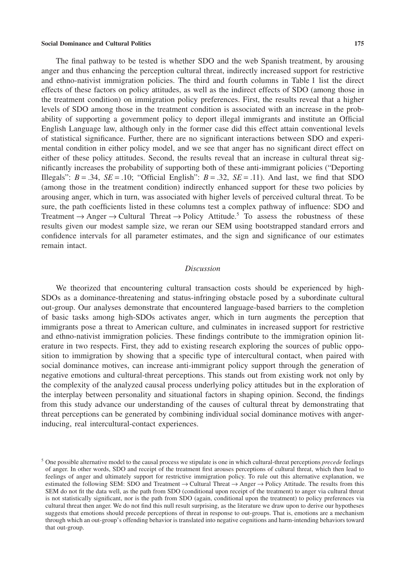The final pathway to be tested is whether SDO and the web Spanish treatment, by arousing anger and thus enhancing the perception cultural threat, indirectly increased support for restrictive and ethno-nativist immigration policies. The third and fourth columns in Table 1 list the direct effects of these factors on policy attitudes, as well as the indirect effects of SDO (among those in the treatment condition) on immigration policy preferences. First, the results reveal that a higher levels of SDO among those in the treatment condition is associated with an increase in the probability of supporting a government policy to deport illegal immigrants and institute an Official English Language law, although only in the former case did this effect attain conventional levels of statistical significance. Further, there are no significant interactions between SDO and experimental condition in either policy model, and we see that anger has no significant direct effect on either of these policy attitudes. Second, the results reveal that an increase in cultural threat significantly increases the probability of supporting both of these anti-immigrant policies ("Deporting Illegals":  $B = .34$ ,  $SE = .10$ ; "Official English":  $B = .32$ ,  $SE = .11$ ). And last, we find that SDO (among those in the treatment condition) indirectly enhanced support for these two policies by arousing anger, which in turn, was associated with higher levels of perceived cultural threat. To be sure, the path coefficients listed in these columns test a complex pathway of influence: SDO and Treatment  $\rightarrow$  Anger  $\rightarrow$  Cultural Threat  $\rightarrow$  Policy Attitude.<sup>5</sup> To assess the robustness of these results given our modest sample size, we reran our SEM using bootstrapped standard errors and confidence intervals for all parameter estimates, and the sign and significance of our estimates remain intact.

## *Discussion*

We theorized that encountering cultural transaction costs should be experienced by high-SDOs as a dominance-threatening and status-infringing obstacle posed by a subordinate cultural out-group. Our analyses demonstrate that encountered language-based barriers to the completion of basic tasks among high-SDOs activates anger, which in turn augments the perception that immigrants pose a threat to American culture, and culminates in increased support for restrictive and ethno-nativist immigration policies. These findings contribute to the immigration opinion literature in two respects. First, they add to existing research exploring the sources of public opposition to immigration by showing that a specific type of intercultural contact, when paired with social dominance motives, can increase anti-immigrant policy support through the generation of negative emotions and cultural-threat perceptions. This stands out from existing work not only by the complexity of the analyzed causal process underlying policy attitudes but in the exploration of the interplay between personality and situational factors in shaping opinion. Second, the findings from this study advance our understanding of the causes of cultural threat by demonstrating that threat perceptions can be generated by combining individual social dominance motives with angerinducing, real intercultural-contact experiences.

<sup>5</sup> One possible alternative model to the causal process we stipulate is one in which cultural-threat perceptions *precede* feelings of anger. In other words, SDO and receipt of the treatment first arouses perceptions of cultural threat, which then lead to feelings of anger and ultimately support for restrictive immigration policy. To rule out this alternative explanation, we estimated the following SEM: SDO and Treatment → Cultural Threat → Anger → Policy Attitude. The results from this SEM do not fit the data well, as the path from SDO (conditional upon receipt of the treatment) to anger via cultural threat is not statistically significant, nor is the path from SDO (again, conditional upon the treatment) to policy preferences via cultural threat then anger. We do not find this null result surprising, as the literature we draw upon to derive our hypotheses suggests that emotions should precede perceptions of threat in response to out-groups. That is, emotions are a mechanism through which an out-group's offending behavior is translated into negative cognitions and harm-intending behaviors toward that out-group.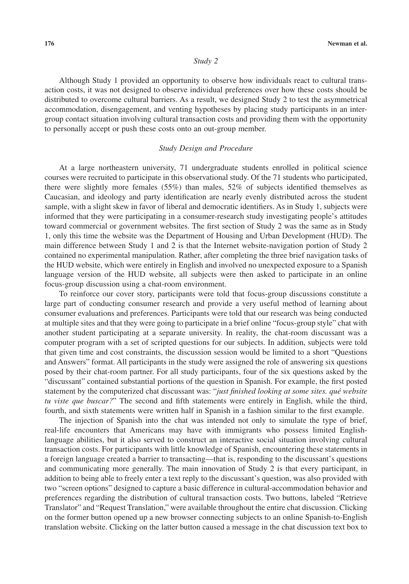## *Study 2*

Although Study 1 provided an opportunity to observe how individuals react to cultural transaction costs, it was not designed to observe individual preferences over how these costs should be distributed to overcome cultural barriers. As a result, we designed Study 2 to test the asymmetrical accommodation, disengagement, and venting hypotheses by placing study participants in an intergroup contact situation involving cultural transaction costs and providing them with the opportunity to personally accept or push these costs onto an out-group member.

## *Study Design and Procedure*

At a large northeastern university, 71 undergraduate students enrolled in political science courses were recruited to participate in this observational study. Of the 71 students who participated, there were slightly more females (55%) than males, 52% of subjects identified themselves as Caucasian, and ideology and party identification are nearly evenly distributed across the student sample, with a slight skew in favor of liberal and democratic identifiers. As in Study 1, subjects were informed that they were participating in a consumer-research study investigating people's attitudes toward commercial or government websites. The first section of Study 2 was the same as in Study 1, only this time the website was the Department of Housing and Urban Development (HUD). The main difference between Study 1 and 2 is that the Internet website-navigation portion of Study 2 contained no experimental manipulation. Rather, after completing the three brief navigation tasks of the HUD website, which were entirely in English and involved no unexpected exposure to a Spanish language version of the HUD website, all subjects were then asked to participate in an online focus-group discussion using a chat-room environment.

To reinforce our cover story, participants were told that focus-group discussions constitute a large part of conducting consumer research and provide a very useful method of learning about consumer evaluations and preferences. Participants were told that our research was being conducted at multiple sites and that they were going to participate in a brief online "focus-group style" chat with another student participating at a separate university. In reality, the chat-room discussant was a computer program with a set of scripted questions for our subjects. In addition, subjects were told that given time and cost constraints, the discussion session would be limited to a short "Questions and Answers" format. All participants in the study were assigned the role of answering six questions posed by their chat-room partner. For all study participants, four of the six questions asked by the "discussant" contained substantial portions of the question in Spanish. For example, the first posted statement by the computerized chat discussant was: "*just finished looking at some sites. qué website tu viste que buscar?*" The second and fifth statements were entirely in English, while the third, fourth, and sixth statements were written half in Spanish in a fashion similar to the first example.

The injection of Spanish into the chat was intended not only to simulate the type of brief, real-life encounters that Americans may have with immigrants who possess limited Englishlanguage abilities, but it also served to construct an interactive social situation involving cultural transaction costs. For participants with little knowledge of Spanish, encountering these statements in a foreign language created a barrier to transacting—that is, responding to the discussant's questions and communicating more generally. The main innovation of Study 2 is that every participant, in addition to being able to freely enter a text reply to the discussant's question, was also provided with two "screen options" designed to capture a basic difference in cultural-accommodation behavior and preferences regarding the distribution of cultural transaction costs. Two buttons, labeled "Retrieve Translator" and "Request Translation," were available throughout the entire chat discussion. Clicking on the former button opened up a new browser connecting subjects to an online Spanish-to-English translation website. Clicking on the latter button caused a message in the chat discussion text box to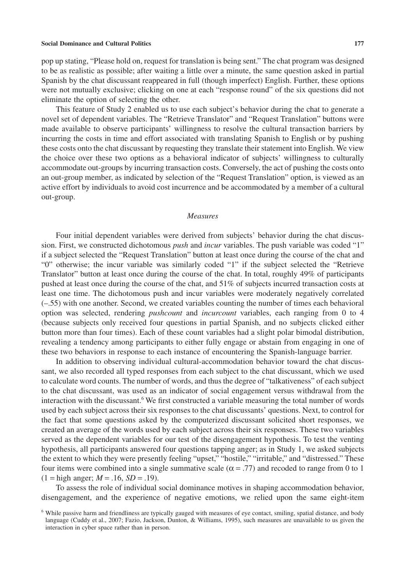pop up stating, "Please hold on, request for translation is being sent." The chat program was designed to be as realistic as possible; after waiting a little over a minute, the same question asked in partial Spanish by the chat discussant reappeared in full (though imperfect) English. Further, these options were not mutually exclusive; clicking on one at each "response round" of the six questions did not eliminate the option of selecting the other.

This feature of Study 2 enabled us to use each subject's behavior during the chat to generate a novel set of dependent variables. The "Retrieve Translator" and "Request Translation" buttons were made available to observe participants' willingness to resolve the cultural transaction barriers by incurring the costs in time and effort associated with translating Spanish to English or by pushing these costs onto the chat discussant by requesting they translate their statement into English. We view the choice over these two options as a behavioral indicator of subjects' willingness to culturally accommodate out-groups by incurring transaction costs. Conversely, the act of pushing the costs onto an out-group member, as indicated by selection of the "Request Translation" option, is viewed as an active effort by individuals to avoid cost incurrence and be accommodated by a member of a cultural out-group.

#### *Measures*

Four initial dependent variables were derived from subjects' behavior during the chat discussion. First, we constructed dichotomous *push* and *incur* variables. The push variable was coded "1" if a subject selected the "Request Translation" button at least once during the course of the chat and "0" otherwise; the incur variable was similarly coded "1" if the subject selected the "Retrieve Translator" button at least once during the course of the chat. In total, roughly 49% of participants pushed at least once during the course of the chat, and 51% of subjects incurred transaction costs at least one time. The dichotomous push and incur variables were moderately negatively correlated (–.55) with one another. Second, we created variables counting the number of times each behavioral option was selected, rendering *pushcount* and *incurcount* variables, each ranging from 0 to 4 (because subjects only received four questions in partial Spanish, and no subjects clicked either button more than four times). Each of these count variables had a slight polar bimodal distribution, revealing a tendency among participants to either fully engage or abstain from engaging in one of these two behaviors in response to each instance of encountering the Spanish-language barrier.

In addition to observing individual cultural-accommodation behavior toward the chat discussant, we also recorded all typed responses from each subject to the chat discussant, which we used to calculate word counts. The number of words, and thus the degree of "talkativeness" of each subject to the chat discussant, was used as an indicator of social engagement versus withdrawal from the interaction with the discussant.<sup>6</sup> We first constructed a variable measuring the total number of words used by each subject across their six responses to the chat discussants' questions. Next, to control for the fact that some questions asked by the computerized discussant solicited short responses, we created an average of the words used by each subject across their six responses. These two variables served as the dependent variables for our test of the disengagement hypothesis. To test the venting hypothesis, all participants answered four questions tapping anger; as in Study 1, we asked subjects the extent to which they were presently feeling "upset," "hostile," "irritable," and "distressed." These four items were combined into a single summative scale ( $\alpha = .77$ ) and recoded to range from 0 to 1  $(1 = \text{high anger}; M = .16, SD = .19).$ 

To assess the role of individual social dominance motives in shaping accommodation behavior, disengagement, and the experience of negative emotions, we relied upon the same eight-item

<sup>&</sup>lt;sup>6</sup> While passive harm and friendliness are typically gauged with measures of eye contact, smiling, spatial distance, and body language (Cuddy et al., 2007; Fazio, Jackson, Dunton, & Williams, 1995), such measures are unavailable to us given the interaction in cyber space rather than in person.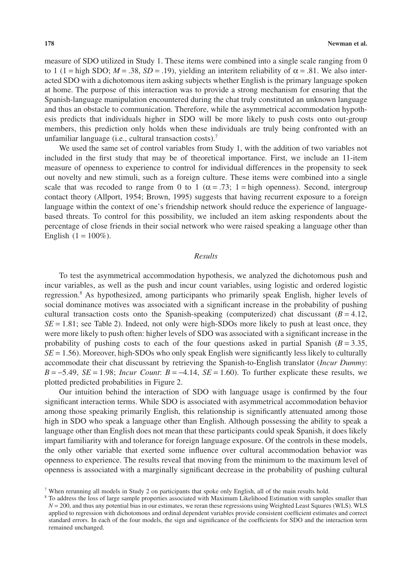measure of SDO utilized in Study 1. These items were combined into a single scale ranging from 0 to 1 (1 = high SDO;  $M = .38$ ,  $SD = .19$ ), yielding an interitem reliability of  $\alpha = .81$ . We also interacted SDO with a dichotomous item asking subjects whether English is the primary language spoken at home. The purpose of this interaction was to provide a strong mechanism for ensuring that the Spanish-language manipulation encountered during the chat truly constituted an unknown language and thus an obstacle to communication. Therefore, while the asymmetrical accommodation hypothesis predicts that individuals higher in SDO will be more likely to push costs onto out-group members, this prediction only holds when these individuals are truly being confronted with an unfamiliar language (i.e., cultural transaction costs).7

We used the same set of control variables from Study 1, with the addition of two variables not included in the first study that may be of theoretical importance. First, we include an 11-item measure of openness to experience to control for individual differences in the propensity to seek out novelty and new stimuli, such as a foreign culture. These items were combined into a single scale that was recoded to range from 0 to 1 ( $\alpha$  = .73; 1 = high openness). Second, intergroup contact theory (Allport, 1954; Brown, 1995) suggests that having recurrent exposure to a foreign language within the context of one's friendship network should reduce the experience of languagebased threats. To control for this possibility, we included an item asking respondents about the percentage of close friends in their social network who were raised speaking a language other than English  $(1 = 100\%)$ .

## *Results*

To test the asymmetrical accommodation hypothesis, we analyzed the dichotomous push and incur variables, as well as the push and incur count variables, using logistic and ordered logistic regression.8 As hypothesized, among participants who primarily speak English, higher levels of social dominance motives was associated with a significant increase in the probability of pushing cultural transaction costs onto the Spanish-speaking (computerized) chat discussant  $(B = 4.12)$ , *SE* = 1.81; see Table 2). Indeed, not only were high-SDOs more likely to push at least once, they were more likely to push often: higher levels of SDO was associated with a significant increase in the probability of pushing costs to each of the four questions asked in partial Spanish  $(B = 3.35,$ *SE* = 1.56). Moreover, high-SDOs who only speak English were significantly less likely to culturally accommodate their chat discussant by retrieving the Spanish-to-English translator (*Incur Dummy*:  $B = -5.49$ ,  $SE = 1.98$ ; *Incur Count*:  $B = -4.14$ ,  $SE = 1.60$ ). To further explicate these results, we plotted predicted probabilities in Figure 2.

Our intuition behind the interaction of SDO with language usage is confirmed by the four significant interaction terms. While SDO is associated with asymmetrical accommodation behavior among those speaking primarily English, this relationship is significantly attenuated among those high in SDO who speak a language other than English. Although possessing the ability to speak a language other than English does not mean that these participants could speak Spanish, it does likely impart familiarity with and tolerance for foreign language exposure. Of the controls in these models, the only other variable that exerted some influence over cultural accommodation behavior was openness to experience. The results reveal that moving from the minimum to the maximum level of openness is associated with a marginally significant decrease in the probability of pushing cultural

<sup>7</sup> When rerunning all models in Study 2 on participants that spoke only English, all of the main results hold.

<sup>&</sup>lt;sup>8</sup> To address the loss of large sample properties associated with Maximum Likelihood Estimation with samples smaller than  $N = 200$ , and thus any potential bias in our estimates, we reran these regressions using Weighted Least Squares (WLS). WLS applied to regression with dichotomous and ordinal dependent variables provide consistent coefficient estimates and correct standard errors. In each of the four models, the sign and significance of the coefficients for SDO and the interaction term remained unchanged.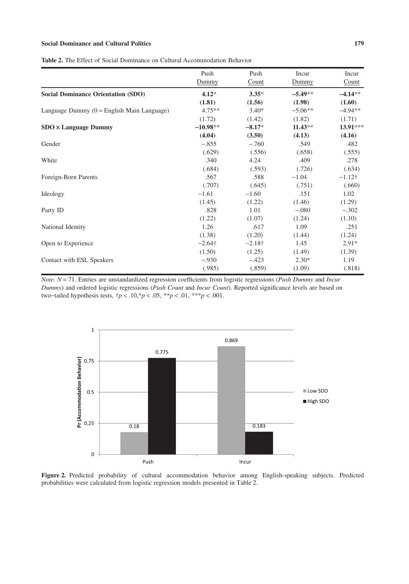**Table 2.** The Effect of Social Dominance on Cultural Accommodation Behavior

|                                              | Push           | Push           | Incur     | Incur          |
|----------------------------------------------|----------------|----------------|-----------|----------------|
|                                              | Dummy          | Count          | Dummy     | Count          |
| <b>Social Dominance Orientation (SDO)</b>    | $4.12*$        | $3.35*$        | $-5.49**$ | $-4.14**$      |
|                                              | (1.81)         | (1.56)         | (1.98)    | (1.60)         |
| Language Dummy $(0 =$ English Main Language) | $4.75***$      | $3.40*$        | $-5.06**$ | $-4.94**$      |
|                                              | (1.72)         | (1.42)         | (1.82)    | (1.71)         |
| $SDO \times Language$ Dummy                  | $-10.98**$     | $-8.17*$       | $11.43**$ | 13.91***       |
|                                              | (4.04)         | (3.50)         | (4.13)    | (4.16)         |
| Gender                                       | $-.855$        | $-.760$        | .549      | .482           |
|                                              | (.629)         | (.556)         | (.658)    | (.555)         |
| White                                        | .340           | 4.24           | .409      | .278           |
|                                              | (.684)         | (.593)         | (.726)    | (.634)         |
| Foreign-Born Parents                         | .567           | .588           | $-1.04$   | $-1.12\dagger$ |
|                                              | (.707)         | (.645)         | (.751)    | (.660)         |
| Ideology                                     | $-1.61$        | $-1.60$        | .151      | 1.02           |
|                                              | (1.45)         | (1.22)         | (1.46)    | (1.29)         |
| Party ID                                     | .828           | 1.01           | $-.080$   | $-.302$        |
|                                              | (1.22)         | (1.07)         | (1.24)    | (1.10)         |
| National Identity                            | 1.26           | .617           | 1.09      | .251           |
|                                              | (1.38)         | (1.20)         | (1.44)    | (1.24)         |
| Open to Experience                           | $-2.64\dagger$ | $-2.18\dagger$ | 1.45      | $2.91*$        |
|                                              | (1.50)         | (1.25)         | (1.49)    | (1.39)         |
| Contact with ESL Speakers                    | $-.930$        | $-.423$        | $2.30*$   | 1.19           |
|                                              | (.985)         | (.859)         | (1.09)    | (.818)         |

*Note. N* = 71. Entries are unstandardized regression coefficients from logistic regressions (*Push Dummy* and *Incur Dummy*) and ordered logistic regressions (*Push Count* and *Incur Count*). Reported significance levels are based on two-tailed hypothesis tests, †*p* < .10,\**p* < .05, \*\**p* < .01, \*\*\**p* < .001.



**Figure 2.** Predicted probability of cultural accommodation behavior among English-speaking subjects. Predicted probabilities were calculated from logistic regression models presented in Table 2.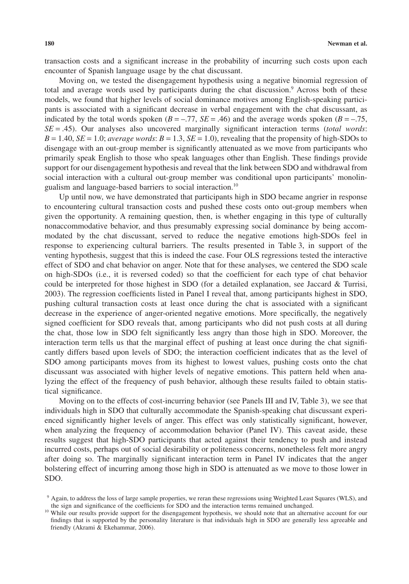transaction costs and a significant increase in the probability of incurring such costs upon each encounter of Spanish language usage by the chat discussant.

Moving on, we tested the disengagement hypothesis using a negative binomial regression of total and average words used by participants during the chat discussion.9 Across both of these models, we found that higher levels of social dominance motives among English-speaking participants is associated with a significant decrease in verbal engagement with the chat discussant, as indicated by the total words spoken ( $B = -77$ ,  $SE = .46$ ) and the average words spoken ( $B = -75$ , *SE* = .45). Our analyses also uncovered marginally significant interaction terms (*total words*:  $B = 1.40$ ,  $SE = 1.0$ ; *average words*:  $B = 1.3$ ,  $SE = 1.0$ ), revealing that the propensity of high-SDOs to disengage with an out-group member is significantly attenuated as we move from participants who primarily speak English to those who speak languages other than English. These findings provide support for our disengagement hypothesis and reveal that the link between SDO and withdrawal from social interaction with a cultural out-group member was conditional upon participants' monolingualism and language-based barriers to social interaction.<sup>10</sup>

Up until now, we have demonstrated that participants high in SDO became angrier in response to encountering cultural transaction costs and pushed these costs onto out-group members when given the opportunity. A remaining question, then, is whether engaging in this type of culturally nonaccommodative behavior, and thus presumably expressing social dominance by being accommodated by the chat discussant, served to reduce the negative emotions high-SDOs feel in response to experiencing cultural barriers. The results presented in Table 3, in support of the venting hypothesis, suggest that this is indeed the case. Four OLS regressions tested the interactive effect of SDO and chat behavior on anger. Note that for these analyses, we centered the SDO scale on high-SDOs (i.e., it is reversed coded) so that the coefficient for each type of chat behavior could be interpreted for those highest in SDO (for a detailed explanation, see Jaccard & Turrisi, 2003). The regression coefficients listed in Panel I reveal that, among participants highest in SDO, pushing cultural transaction costs at least once during the chat is associated with a significant decrease in the experience of anger-oriented negative emotions. More specifically, the negatively signed coefficient for SDO reveals that, among participants who did not push costs at all during the chat, those low in SDO felt significantly less angry than those high in SDO. Moreover, the interaction term tells us that the marginal effect of pushing at least once during the chat significantly differs based upon levels of SDO; the interaction coefficient indicates that as the level of SDO among participants moves from its highest to lowest values, pushing costs onto the chat discussant was associated with higher levels of negative emotions. This pattern held when analyzing the effect of the frequency of push behavior, although these results failed to obtain statistical significance.

Moving on to the effects of cost-incurring behavior (see Panels III and IV, Table 3), we see that individuals high in SDO that culturally accommodate the Spanish-speaking chat discussant experienced significantly higher levels of anger. This effect was only statistically significant, however, when analyzing the frequency of accommodation behavior (Panel IV). This caveat aside, these results suggest that high-SDO participants that acted against their tendency to push and instead incurred costs, perhaps out of social desirability or politeness concerns, nonetheless felt more angry after doing so. The marginally significant interaction term in Panel IV indicates that the anger bolstering effect of incurring among those high in SDO is attenuated as we move to those lower in SDO.

<sup>9</sup> Again, to address the loss of large sample properties, we reran these regressions using Weighted Least Squares (WLS), and the sign and significance of the coefficients for SDO and the interaction terms remained unchanged.

<sup>&</sup>lt;sup>10</sup> While our results provide support for the disengagement hypothesis, we should note that an alternative account for our findings that is supported by the personality literature is that individuals high in SDO are generally less agreeable and friendly (Akrami & Ekehammar, 2006).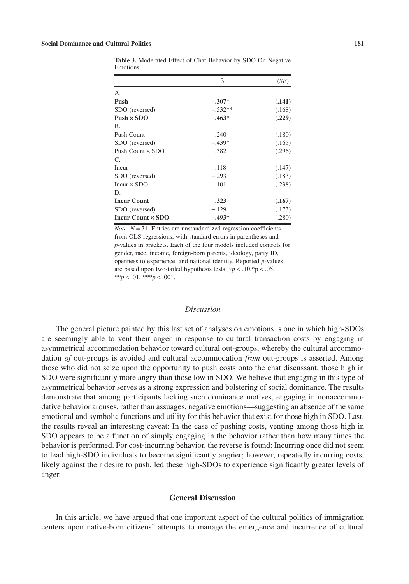|                          | β             | (SE)   |
|--------------------------|---------------|--------|
| А.                       |               |        |
| Push                     | $-.307*$      | (.141) |
| SDO (reversed)           | $-.532**$     | (.168) |
| $Push \times SDO$        | $.463*$       | (.229) |
| B.                       |               |        |
| Push Count               | $-.240$       | (.180) |
| SDO (reversed)           | $-.439*$      | (.165) |
| Push Count $\times$ SDO  | .382          | (.296) |
| $\mathcal{C}$ .          |               |        |
| Incur                    | .118          | (.147) |
| SDO (reversed)           | $-.293$       | (.183) |
| Incur $\times$ SDO       | $-.101$       | (.238) |
| D.                       |               |        |
| <b>Incur Count</b>       | $.323\dagger$ | (.167) |
| SDO (reversed)           | $-.129$       | (.173) |
| Incur Count $\times$ SDO | $-.493+$      | (.280) |

**Table 3.** Moderated Effect of Chat Behavior by SDO On Negative Emotions

*Note.*  $N = 71$ . Entries are unstandardized regression coefficients from OLS regressions, with standard errors in parentheses and *p*-values in brackets. Each of the four models included controls for gender, race, income, foreign-born parents, ideology, party ID, openness to experience, and national identity. Reported *p*-values are based upon two-tailed hypothesis tests.  $\frac{1}{7}p < .10, \frac{1}{7}p < .05$ ,  $**p < .01, **p < .001.$ 

#### *Discussion*

The general picture painted by this last set of analyses on emotions is one in which high-SDOs are seemingly able to vent their anger in response to cultural transaction costs by engaging in asymmetrical accommodation behavior toward cultural out-groups, whereby the cultural accommodation *of* out-groups is avoided and cultural accommodation *from* out-groups is asserted. Among those who did not seize upon the opportunity to push costs onto the chat discussant, those high in SDO were significantly more angry than those low in SDO. We believe that engaging in this type of asymmetrical behavior serves as a strong expression and bolstering of social dominance. The results demonstrate that among participants lacking such dominance motives, engaging in nonaccommodative behavior arouses, rather than assuages, negative emotions—suggesting an absence of the same emotional and symbolic functions and utility for this behavior that exist for those high in SDO. Last, the results reveal an interesting caveat: In the case of pushing costs, venting among those high in SDO appears to be a function of simply engaging in the behavior rather than how many times the behavior is performed. For cost-incurring behavior, the reverse is found: Incurring once did not seem to lead high-SDO individuals to become significantly angrier; however, repeatedly incurring costs, likely against their desire to push, led these high-SDOs to experience significantly greater levels of anger.

## **General Discussion**

In this article, we have argued that one important aspect of the cultural politics of immigration centers upon native-born citizens' attempts to manage the emergence and incurrence of cultural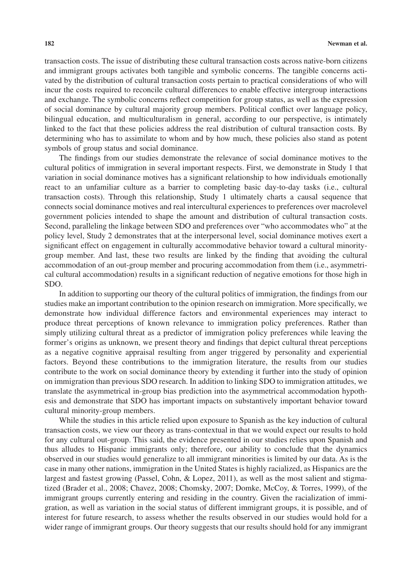transaction costs. The issue of distributing these cultural transaction costs across native-born citizens and immigrant groups activates both tangible and symbolic concerns. The tangible concerns activated by the distribution of cultural transaction costs pertain to practical considerations of who will incur the costs required to reconcile cultural differences to enable effective intergroup interactions and exchange. The symbolic concerns reflect competition for group status, as well as the expression of social dominance by cultural majority group members. Political conflict over language policy, bilingual education, and multiculturalism in general, according to our perspective, is intimately linked to the fact that these policies address the real distribution of cultural transaction costs. By determining who has to assimilate to whom and by how much, these policies also stand as potent symbols of group status and social dominance.

The findings from our studies demonstrate the relevance of social dominance motives to the cultural politics of immigration in several important respects. First, we demonstrate in Study 1 that variation in social dominance motives has a significant relationship to how individuals emotionally react to an unfamiliar culture as a barrier to completing basic day-to-day tasks (i.e., cultural transaction costs). Through this relationship, Study 1 ultimately charts a causal sequence that connects social dominance motives and real intercultural experiences to preferences over macrolevel government policies intended to shape the amount and distribution of cultural transaction costs. Second, paralleling the linkage between SDO and preferences over "who accommodates who" at the policy level, Study 2 demonstrates that at the interpersonal level, social dominance motives exert a significant effect on engagement in culturally accommodative behavior toward a cultural minoritygroup member. And last, these two results are linked by the finding that avoiding the cultural accommodation of an out-group member and procuring accommodation from them (i.e., asymmetrical cultural accommodation) results in a significant reduction of negative emotions for those high in SDO.

In addition to supporting our theory of the cultural politics of immigration, the findings from our studies make an important contribution to the opinion research on immigration. More specifically, we demonstrate how individual difference factors and environmental experiences may interact to produce threat perceptions of known relevance to immigration policy preferences. Rather than simply utilizing cultural threat as a predictor of immigration policy preferences while leaving the former's origins as unknown, we present theory and findings that depict cultural threat perceptions as a negative cognitive appraisal resulting from anger triggered by personality and experiential factors. Beyond these contributions to the immigration literature, the results from our studies contribute to the work on social dominance theory by extending it further into the study of opinion on immigration than previous SDO research. In addition to linking SDO to immigration attitudes, we translate the asymmetrical in-group bias prediction into the asymmetrical accommodation hypothesis and demonstrate that SDO has important impacts on substantively important behavior toward cultural minority-group members.

While the studies in this article relied upon exposure to Spanish as the key induction of cultural transaction costs, we view our theory as trans-contextual in that we would expect our results to hold for any cultural out-group. This said, the evidence presented in our studies relies upon Spanish and thus alludes to Hispanic immigrants only; therefore, our ability to conclude that the dynamics observed in our studies would generalize to all immigrant minorities is limited by our data. As is the case in many other nations, immigration in the United States is highly racialized, as Hispanics are the largest and fastest growing (Passel, Cohn, & Lopez, 2011), as well as the most salient and stigmatized (Brader et al., 2008; Chavez, 2008; Chomsky, 2007; Domke, McCoy, & Torres, 1999), of the immigrant groups currently entering and residing in the country. Given the racialization of immigration, as well as variation in the social status of different immigrant groups, it is possible, and of interest for future research, to assess whether the results observed in our studies would hold for a wider range of immigrant groups. Our theory suggests that our results should hold for any immigrant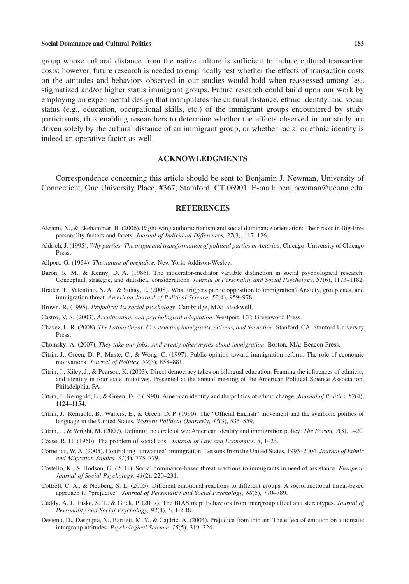group whose cultural distance from the native culture is sufficient to induce cultural transaction costs; however, future research is needed to empirically test whether the effects of transaction costs on the attitudes and behaviors observed in our studies would hold when reassessed among less stigmatized and/or higher status immigrant groups. Future research could build upon our work by employing an experimental design that manipulates the cultural distance, ethnic identity, and social status (e.g., education, occupational skills, etc.) of the immigrant groups encountered by study participants, thus enabling researchers to determine whether the effects observed in our study are driven solely by the cultural distance of an immigrant group, or whether racial or ethnic identity is indeed an operative factor as well.

## **ACKNOWLEDGMENTS**

Correspondence concerning this article should be sent to Benjamin J. Newman, University of Connecticut, One University Place, #367, Stamford, CT 06901. E-mail: [benj.newman@uconn.edu](mailto:benj.newman@uconn.edu)

### **REFERENCES**

- Akrami, N., & Ekehammar, B. (2006). Right-wing authoritarianism and social dominance orientation: Their roots in Big-Five personality factors and facets. *Journal of Individual Differences, 27*(3), 117–126.
- Aldrich, J. (1995). *Why parties: The origin and transformation of political parties in America*. Chicago: University of Chicago Press.
- Allport, G. (1954). *The nature of prejudice*. New York: Addison-Wesley.
- Baron, R. M., & Kenny, D. A. (1986). The moderator-mediator variable distinction in social psychological research: Conceptual, strategic, and statistical considerations. *Journal of Personality and Social Psychology, 51*(6), 1173–1182.
- Brader, T., Valentino, N. A., & Suhay, E. (2008). What triggers public opposition to immigration? Anxiety, group cues, and immigration threat. *American Journal of Political Science, 52*(4), 959–978.
- Brown, R. (1995). *Prejudice: Its social psychology*. Cambridge, MA: Blackwell.
- Castro, V. S. (2003). *Acculturation and psychological adaptation*. Westport, CT: Greenwood Press.
- Chavez, L. R. (2008). *The Latino threat: Constructing immigrants, citizens, and the nation*. Stanford, CA: Stanford University Press.
- Chomsky, A. (2007). *They take our jobs! And twenty other myths about immigration*. Boston, MA: Beacon Press.
- Citrin, J., Green, D. P., Muste, C., & Wong, C. (1997). Public opinion toward immigration reform: The role of economic motivations. *Journal of Politics, 59*(3), 858–881.
- Citrin, J., Kiley, J., & Pearson, K. (2003). Direct democracy takes on bilingual education: Framing the influences of ethnicity and identity in four state initiatives. Presented at the annual meeting of the American Political Science Association, Philadelphia, PA.
- Citrin, J., Reingold, B., & Green, D. P. (1990). American identity and the politics of ethnic change. *Journal of Politics, 57*(4), 1124–1154.
- Citrin, J., Reingold, B., Walters, E., & Green, D. P. (1990). The "Official English" movement and the symbolic politics of language in the United States. *Western Political Quarterly, 43*(3), 535–559.
- Citrin, J., & Wright, M. (2009). Defining the circle of we: American identity and immigration policy. *The Forum, 7*(3), 1–20.
- Coase, R. H. (1960). The problem of social cost. *Journal of Law and Economics, 3*, 1–23.
- Cornelius, W. A. (2005). Controlling "unwanted" immigration: Lessons from the United States, 1993–2004. *Journal of Ethnic and Migration Studies, 31*(4), 775–779.
- Costello, K., & Hodson, G. (2011). Social dominance-based threat reactions to immigrants in need of assistance. *European Journal of Social Psychology, 41*(2), 220–231.
- Cottrell, C. A., & Neuberg, S. L. (2005). Different emotional reactions to different groups: A sociofunctional threat-based approach to "prejudice". *Journal of Personality and Social Psychology, 88*(5), 770–789.
- Cuddy, A. J., Fiske, S. T., & Glick, P. (2007). The BIAS map: Behaviors from intergroup affect and stereotypes. *Journal of Personality and Social Psychology, 92*(4), 631–648.
- Desteno, D., Dasgupta, N., Bartlett, M. Y., & Cajdric, A. (2004). Prejudice from thin air: The effect of emotion on automatic intergroup attitudes. *Psychological Science, 15*(5), 319–324.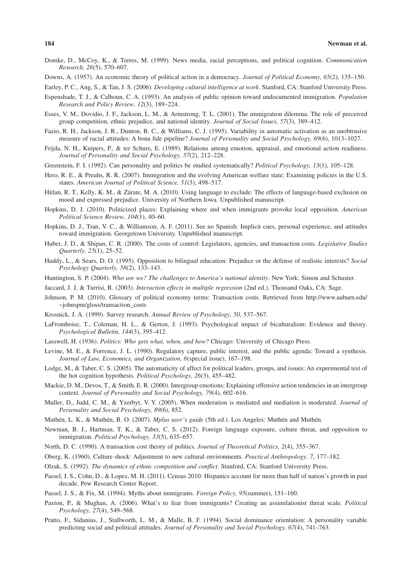- Domke, D., McCoy, K., & Torres, M. (1999). News media, racial perceptions, and political cognition. *Communication Research, 26*(5), 570–607.
- Downs, A. (1957). An economic theory of political action in a democracy. *Journal of Political Economy, 65*(2), 135–150.

- Espenshade, T. J., & Calhoun, C. A. (1993). An analysis of public opinion toward undocumented immigration. *Population Research and Policy Review, 12*(3), 189–224.
- Esses, V. M., Dovidio, J. F., Jackson, L. M., & Armstrong, T. L. (2001). The immigration dilemma: The role of perceived group competition, ethnic prejudice, and national identity. *Journal of Social Issues, 57*(3), 389–412.
- Fazio, R. H., Jackson, J. R., Dunton, B. C., & Williams, C. J. (1995). Variability in automatic activation as an unobtrusive measure of racial attitudes: A bona fide pipeline? *Journal of Personality and Social Psychology, 69*(6), 1013–1027.
- Frijda, N. H., Kuipers, P., & ter Schure, E. (1989). Relations among emotion, appraisal, and emotional action readiness. *Journal of Personality and Social Psychology, 57*(2), 212–228.
- Greenstein, F. I. (1992). Can personality and politics be studied systematically? *Political Psychology, 13*(1), 105–128.
- Hero, R. E., & Preuhs, R. R. (2007). Immigration and the evolving American welfare state: Examining policies in the U.S. states. *American Journal of Political Science, 51*(3), 498–517.
- Hitlan, R. T., Kelly, K. M., & Zárate, M. A. (2010). Using language to exclude: The effects of language-based exclusion on mood and expressed prejudice. University of Northern Iowa. Unpublished manuscript.
- Hopkins, D. J. (2010). Politicized places: Explaining where and when immigrants provoke local opposition. *American Political Science Review, 104*(1), 40–60.
- Hopkins, D. J., Tran, V. C., & Williamson, A. F. (2011). See no Spanish: Implicit cues, personal experience, and attitudes toward immigration. Georgetown University. Unpublished manuscript.
- Huber, J. D., & Shipan, C. R. (2000). The costs of control: Legislators, agencies, and transaction costs. *Legislative Studies Quarterly, 25*(1), 25–52.
- Huddy, L., & Sears, D. O. (1995). Opposition to bilingual education: Prejudice or the defense of realistic interests? *Social Psychology Quarterly, 58*(2), 133–143.
- Huntington, S. P. (2004). *Who are we? The challenges to America's national identity*. New York: Simon and Schuster.

Jaccard, J. J, & Turrisi, R. (2003). *Interaction effects in multiple regression* (2nd ed.). Thousand Oaks, CA: Sage.

- Johnson, P. M. (2010). Glossary of political economy terms: Transaction costs. Retrieved from [http://www.auburn.edu/](http://www.auburn.edu/~johnspm/gloss/transaction_costs) [~johnspm/gloss/transaction\\_costs](http://www.auburn.edu/~johnspm/gloss/transaction_costs)
- Krosnick, J. A. (1999). Survey research. *Annual Review of Psychology, 50*, 537–567.
- LaFromboise, T., Coleman, H. L., & Gerton, J. (1993). Psychological impact of biculturalism: Evidence and theory. *Psychological Bulletin, 144*(3), 395–412.
- Lasswell, H. (1936). *Politics: Who gets what, when, and how*? Chicago: University of Chicago Press.
- Levine, M. E., & Forrence, J. L. (1990). Regulatory capture, public interest, and the public agenda: Toward a synthesis. *Journal of Law, Economics, and Organization, 6*(special issue), 167–198.
- Lodge, M., & Taber, C. S. (2005). The automaticity of affect for political leaders, groups, and issues: An experimental test of the hot cognition hypothesis. *Political Psychology, 26*(3), 455–482.
- Mackie, D. M., Devos, T., & Smith, E. R. (2000). Intergroup emotions: Explaining offensive action tendencies in an intergroup context. *Journal of Personality and Social Psychology, 79*(4), 602–616.
- Muller, D., Judd, C. M., & Yzerbyt, V. Y. (2005). When moderation is mediated and mediation is moderated. *Journal of Personality and Social Psychology, 89*(6), 852.
- Muthén, L. K., & Muthén, B. O. (2007). *Mplus user's guide* (5th ed.). Los Angeles: Muthén and Muthén.
- Newman, B. J., Hartman, T. K., & Taber, C. S. (2012). Foreign language exposure, culture threat, and opposition to immigration. *Political Psychology, 33*(5), 635–657.
- North, D. C. (1990). A transaction cost theory of politics. *Journal of Theoretical Politics, 2*(4), 355–367.
- Oberg, K. (1960). Culture shock: Adjustment to new cultural environments. *Practical Anthropology, 7*, 177–182.
- Olzak, S. (1992). *The dynamics of ethnic competition and conflict*. Stanford, CA: Stanford University Press.
- Passel, J. S., Cohn, D., & Lopez, M. H. (2011). Census 2010: Hispanics account for more than half of nation's growth in past decade. Pew Research Center Report.
- Passel, J. S., & Fix, M. (1994). Myths about immigrants. *Foreign Policy, 95*(summer), 151–160.
- Paxton, P., & Mughan, A. (2006). What's to fear from immigrants? Creating an assimilationist threat scale. *Political Psychology, 27*(4), 549–568.
- Pratto, F., Sidanius, J., Stallworth, L. M., & Malle, B. F. (1994). Social dominance orientation: A personality variable predicting social and political attitudes. *Journal of Personality and Social Psychology, 67*(4), 741–763.

Earley, P. C., Ang, S., & Tan, J. S. (2006). *Developing cultural intelligence at work*. Stanford, CA: Stanford University Press.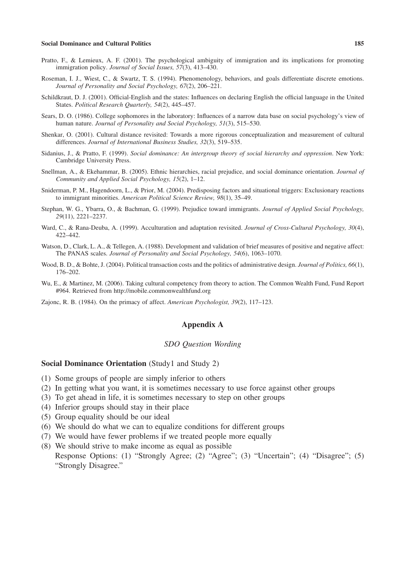- Pratto, F., & Lemieux, A. F. (2001). The psychological ambiguity of immigration and its implications for promoting immigration policy. *Journal of Social Issues, 57*(3), 413–430.
- Roseman, I. J., Wiest, C., & Swartz, T. S. (1994). Phenomenology, behaviors, and goals differentiate discrete emotions. *Journal of Personality and Social Psychology, 67*(2), 206–221.
- Schildkraut, D. J. (2001). Official-English and the states: Influences on declaring English the official language in the United States. *Political Research Quarterly, 54*(2), 445–457.
- Sears, D. O. (1986). College sophomores in the laboratory: Influences of a narrow data base on social psychology's view of human nature. *Journal of Personality and Social Psychology, 51*(3), 515–530.
- Shenkar, O. (2001). Cultural distance revisited: Towards a more rigorous conceptualization and measurement of cultural differences. *Journal of International Business Studies, 32*(3), 519–535.
- Sidanius, J., & Pratto, F. (1999). *Social dominance: An intergroup theory of social hierarchy and oppression*. New York: Cambridge University Press.
- Snellman, A., & Ekehammar, B. (2005). Ethnic hierarchies, racial prejudice, and social dominance orientation. *Journal of Community and Applied Social Psychology, 15*(2), 1–12.
- Sniderman, P. M., Hagendoorn, L., & Prior, M. (2004). Predisposing factors and situational triggers: Exclusionary reactions to immigrant minorities. *American Political Science Review, 98*(1), 35–49.
- Stephan, W. G., Ybarra, O., & Bachman, G. (1999). Prejudice toward immigrants. *Journal of Applied Social Psychology, 29*(11), 2221–2237.
- Ward, C., & Rana-Deuba, A. (1999). Acculturation and adaptation revisited. *Journal of Cross-Cultural Psychology, 30*(4), 422–442.
- Watson, D., Clark, L. A., & Tellegen, A. (1988). Development and validation of brief measures of positive and negative affect: The PANAS scales. *Journal of Personality and Social Psychology, 54*(6), 1063–1070.
- Wood, B. D., & Bohte, J. (2004). Political transaction costs and the politics of administrative design. *Journal of Politics, 66*(1), 176–202.
- Wu, E., & Martinez, M. (2006). Taking cultural competency from theory to action. The Common Wealth Fund, Fund Report #964. Retrieved from<http://mobile.commonwealthfund.org>
- Zajonc, R. B. (1984). On the primacy of affect. *American Psychologist, 39*(2), 117–123.

## **Appendix A**

#### *SDO Question Wording*

### **Social Dominance Orientation** (Study1 and Study 2)

- (1) Some groups of people are simply inferior to others
- (2) In getting what you want, it is sometimes necessary to use force against other groups
- (3) To get ahead in life, it is sometimes necessary to step on other groups
- (4) Inferior groups should stay in their place
- (5) Group equality should be our ideal
- (6) We should do what we can to equalize conditions for different groups
- (7) We would have fewer problems if we treated people more equally
- (8) We should strive to make income as equal as possible Response Options: (1) "Strongly Agree; (2) "Agree"; (3) "Uncertain"; (4) "Disagree"; (5) "Strongly Disagree."